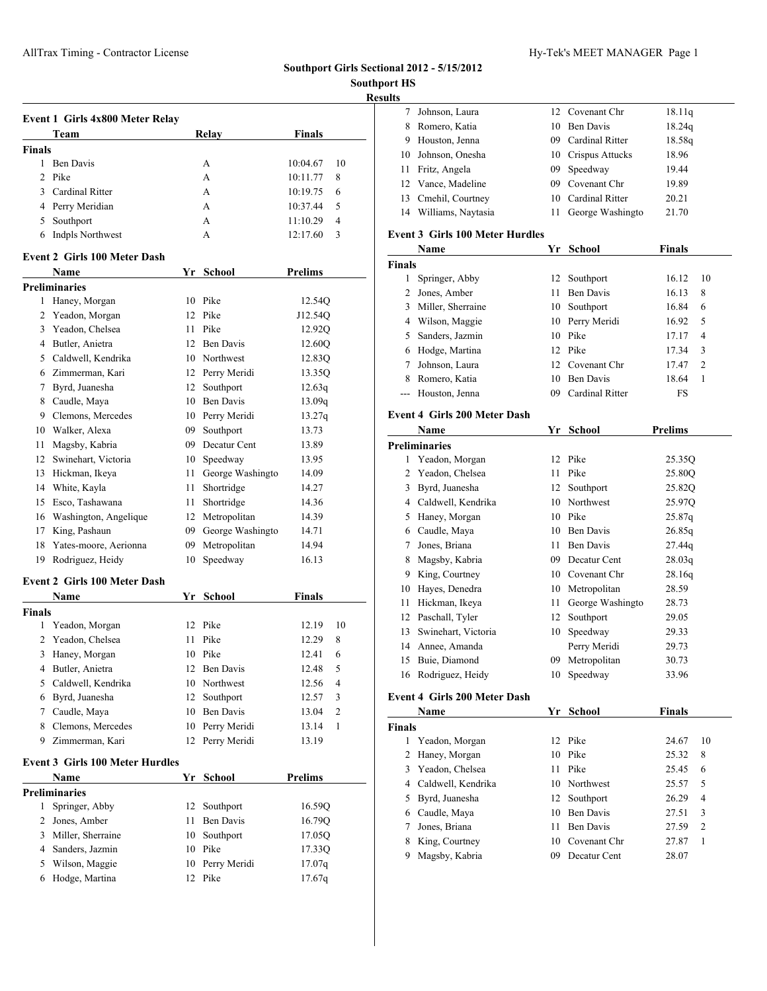# **Southport Girls Sectional 2012 - 5/15/2012**

**Southport HS**

# **Results**

| Event 1 Girls 4x800 Meter Relay  |       |               |                |  |  |  |
|----------------------------------|-------|---------------|----------------|--|--|--|
| Team                             | Relay | <b>Finals</b> |                |  |  |  |
| <b>Finals</b>                    |       |               |                |  |  |  |
| Ben Davis                        | A     | 10:04.67      | 10             |  |  |  |
| 2 Pike                           | A     | 10:11.77      | 8              |  |  |  |
| Cardinal Ritter<br>$\mathcal{F}$ | A     | 10:19.75      | 6              |  |  |  |
| 4 Perry Meridian                 | A     | 10:37.44      | .5             |  |  |  |
| Southport<br>5                   | А     | 11:10.29      | $\overline{4}$ |  |  |  |
| Indpls Northwest<br>6            | А     | 12:17.60      | 3              |  |  |  |

## **Event 2 Girls 100 Meter Dash**

|                | <b>Name</b>                         | Yr | School           | <b>Prelims</b> |
|----------------|-------------------------------------|----|------------------|----------------|
|                | <b>Preliminaries</b>                |    |                  |                |
| 1              | Haney, Morgan                       | 10 | Pike             | 12.54Q         |
| $\overline{c}$ | Yeadon, Morgan                      | 12 | Pike             | J12.54Q        |
| 3              | Yeadon, Chelsea                     | 11 | Pike             | 12.92Q         |
| 4              | Butler, Anietra                     | 12 | <b>Ben Davis</b> | 12.60Q         |
| 5              | Caldwell, Kendrika                  | 10 | Northwest        | 12.83Q         |
| 6              | Zimmerman, Kari                     | 12 | Perry Meridi     | 13.35Q         |
| 7              | Byrd, Juanesha                      | 12 | Southport        | 12.63q         |
| 8              | Caudle, Maya                        | 10 | <b>Ben Davis</b> | 13.09q         |
| 9              | Clemons, Mercedes                   | 10 | Perry Meridi     | 13.27q         |
| 10             | Walker, Alexa                       | 09 | Southport        | 13.73          |
| 11             | Magsby, Kabria                      | 09 | Decatur Cent     | 13.89          |
| 12             | Swinehart, Victoria                 | 10 | Speedway         | 13.95          |
| 13             | Hickman, Ikeya                      | 11 | George Washingto | 14.09          |
| 14             | White, Kayla                        | 11 | Shortridge       | 14.27          |
| 15             | Esco, Tashawana                     | 11 | Shortridge       | 14.36          |
| 16             | Washington, Angelique               | 12 | Metropolitan     | 14.39          |
| 17             | King, Pashaun                       | 09 | George Washingto | 14.71          |
| 18             | Yates-moore, Aerionna               | 09 | Metropolitan     | 14.94          |
| 19             | Rodriguez, Heidy                    | 10 | Speedway         | 16.13          |
|                | <b>Event 2 Girls 100 Meter Dash</b> |    |                  |                |

|               | <b>Name</b>                            | Yr | <b>School</b>    | <b>Finals</b>           |
|---------------|----------------------------------------|----|------------------|-------------------------|
| <b>Finals</b> |                                        |    |                  |                         |
| 1             | Yeadon, Morgan                         | 12 | Pike             | 12.19<br>10             |
| 2             | Yeadon, Chelsea                        | 11 | Pike             | 8<br>12.29              |
| 3             | Haney, Morgan                          | 10 | Pike             | 12.41<br>6              |
| 4             | Butler, Anietra                        | 12 | <b>Ben Davis</b> | 5<br>12.48              |
| 5             | Caldwell, Kendrika                     | 10 | Northwest        | 12.56<br>4              |
| 6             | Byrd, Juanesha                         | 12 | Southport        | 12.57<br>3              |
| 7             | Caudle, Maya                           | 10 | <b>Ben Davis</b> | 13.04<br>$\overline{c}$ |
| 8             | Clemons, Mercedes                      | 10 | Perry Meridi     | 1<br>13.14              |
| 9             | Zimmerman, Kari                        | 12 | Perry Meridi     | 13.19                   |
|               | <b>Event 3 Girls 100 Meter Hurdles</b> |    |                  |                         |
|               | Name                                   | Yr | School           | <b>Prelims</b>          |
|               | <b>Preliminaries</b>                   |    |                  |                         |
| 1             | Springer, Abby                         | 12 | Southport        | 16.59Q                  |
| 2             | Jones, Amber                           | 11 | <b>Ben Davis</b> | 16.79Q                  |
| 3             | Miller, Sherraine                      | 10 | Southport        | 17.05Q                  |
| 4             | Sanders, Jazmin                        | 10 | Pike             | 17.33Q                  |
| 5             | Wilson, Maggie                         | 10 | Perry Meridi     | 17.07q                  |
| 6             | Hodge, Martina                         | 12 | Pike             | 17.67q                  |

| 7              | Johnson, Laura                         | 12 | Covenant Chr       | 18.11q         |  |  |  |  |
|----------------|----------------------------------------|----|--------------------|----------------|--|--|--|--|
| 8              | Romero, Katia                          | 10 | <b>Ben Davis</b>   | 18.24q         |  |  |  |  |
| 9              | Houston, Jenna                         | 09 | Cardinal Ritter    | 18.58g         |  |  |  |  |
| 10             | Johnson, Onesha                        |    | 10 Crispus Attucks | 18.96          |  |  |  |  |
| 11             | Fritz, Angela                          |    | 09 Speedway        | 19.44          |  |  |  |  |
| 12             | Vance, Madeline                        |    | 09 Covenant Chr    | 19.89          |  |  |  |  |
| 13             | Cmehil, Courtney                       |    | 10 Cardinal Ritter | 20.21          |  |  |  |  |
| 14             | Williams, Naytasia                     | 11 | George Washingto   | 21.70          |  |  |  |  |
|                |                                        |    |                    |                |  |  |  |  |
|                | <b>Event 3 Girls 100 Meter Hurdles</b> |    |                    |                |  |  |  |  |
|                | Name                                   | Yr | School             | <b>Finals</b>  |  |  |  |  |
| <b>Finals</b>  |                                        |    |                    |                |  |  |  |  |
| 1              | Springer, Abby                         | 12 | Southport          | 16.12<br>10    |  |  |  |  |
| 2              | Jones, Amber                           | 11 | <b>Ben Davis</b>   | 16.13<br>8     |  |  |  |  |
| 3              | Miller, Sherraine                      | 10 | Southport          | 6<br>16.84     |  |  |  |  |
| 4              | Wilson, Maggie                         |    | 10 Perry Meridi    | 5<br>16.92     |  |  |  |  |
| 5              | Sanders, Jazmin                        | 10 | Pike               | 4<br>17.17     |  |  |  |  |
| 6              | Hodge, Martina                         | 12 | Pike               | 17.34<br>3     |  |  |  |  |
| 7              | Johnson, Laura                         | 12 | Covenant Chr       | 2<br>17.47     |  |  |  |  |
| 8              | Romero, Katia                          | 10 | <b>Ben Davis</b>   | 1<br>18.64     |  |  |  |  |
| $\overline{a}$ | Houston, Jenna                         |    | 09 Cardinal Ritter | FS             |  |  |  |  |
|                | <b>Event 4 Girls 200 Meter Dash</b>    |    |                    |                |  |  |  |  |
|                | Name                                   |    | Yr School          | <b>Prelims</b> |  |  |  |  |
|                | <b>Preliminaries</b>                   |    |                    |                |  |  |  |  |
| 1              | Yeadon, Morgan                         | 12 | Pike               | 25.35Q         |  |  |  |  |
| 2              | Yeadon, Chelsea                        | 11 | Pike               | 25.80Q         |  |  |  |  |
| 3              | Byrd, Juanesha                         | 12 | Southport          | 25.82Q         |  |  |  |  |
| 4              | Caldwell, Kendrika                     | 10 | Northwest          | 25.97Q         |  |  |  |  |
| 5              | Haney, Morgan                          | 10 | Pike               | 25.87q         |  |  |  |  |
| 6              | Caudle, Maya                           | 10 | Ben Davis          | 26.85q         |  |  |  |  |
| 7              | Jones, Briana                          | 11 | Ben Davis          | 27.44q         |  |  |  |  |
| 8              | Magsby, Kabria                         | 09 | Decatur Cent       | 28.03q         |  |  |  |  |
| 9              | King, Courtney                         |    | 10 Covenant Chr    | 28.16q         |  |  |  |  |
| 10             | Hayes, Denedra                         |    | 10 Metropolitan    | 28.59          |  |  |  |  |
| 11             | Hickman, Ikeya                         | 11 | George Washingto   | 28.73          |  |  |  |  |
| 12             | Paschall, Tyler                        | 12 | Southport          | 29.05          |  |  |  |  |
| 13             | Swinehart, Victoria                    | 10 | Speedway           | 29.33          |  |  |  |  |
| 14             | Annee, Amanda                          |    | Perry Meridi       | 29.73          |  |  |  |  |
| 15             | Buie, Diamond                          |    | 09 Metropolitan    | 30.73          |  |  |  |  |
|                | 16 Rodriguez, Heidy                    |    | 10 Speedway        | 33.96          |  |  |  |  |
|                |                                        |    |                    |                |  |  |  |  |
|                | <b>Event 4 Girls 200 Meter Dash</b>    |    |                    |                |  |  |  |  |
|                | Name                                   | Yr | <b>School</b>      | <b>Finals</b>  |  |  |  |  |
| <b>Finals</b>  |                                        |    |                    |                |  |  |  |  |
| 1              | Yeadon, Morgan                         | 12 | Pike               | 24.67<br>10    |  |  |  |  |
| 2              | Haney, Morgan                          | 10 | Pike               | 25.32<br>8     |  |  |  |  |
| 3              | Yeadon, Chelsea                        | 11 | Pike               | 6<br>25.45     |  |  |  |  |
| 4              | Caldwell, Kendrika                     | 10 | Northwest          | 5<br>25.57     |  |  |  |  |
| 5              | Byrd, Juanesha                         | 12 | Southport          | 26.29<br>4     |  |  |  |  |
| 6              | Caudle, Maya                           | 10 | <b>Ben Davis</b>   | 27.51<br>3     |  |  |  |  |

 Jones, Briana 11 Ben Davis 27.59 2 King, Courtney 10 Covenant Chr 27.87 1 Magsby, Kabria 09 Decatur Cent 28.07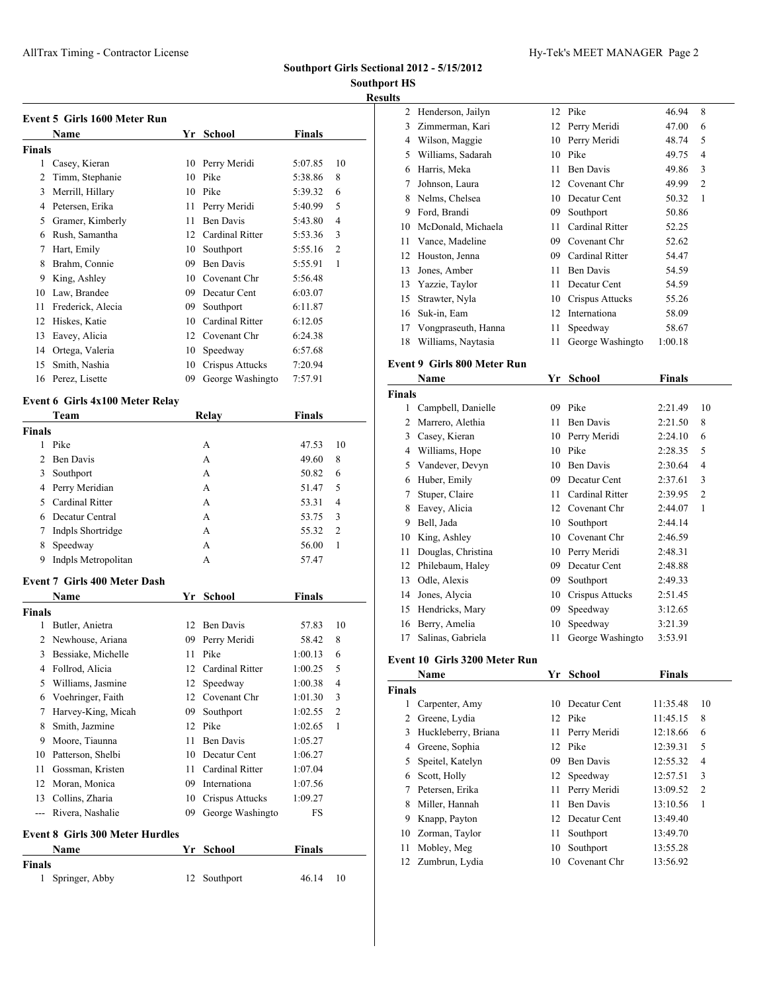## **Southport Girls Sectional 2012 - 5/15/2012**

# **Southport HS Results**

|        | Name              | Yr | <b>School</b>    | <b>Finals</b> |                |
|--------|-------------------|----|------------------|---------------|----------------|
| Finals |                   |    |                  |               |                |
| 1      | Casey, Kieran     | 10 | Perry Meridi     | 5:07.85       | 10             |
| 2      | Timm, Stephanie   | 10 | Pike             | 5:38.86       | 8              |
| 3      | Merrill, Hillary  | 10 | Pike             | 5:39.32       | 6              |
| 4      | Petersen, Erika   | 11 | Perry Meridi     | 5:40.99       | 5              |
| 5      | Gramer, Kimberly  | 11 | <b>Ben Davis</b> | 5:43.80       | $\overline{4}$ |
| 6      | Rush, Samantha    | 12 | Cardinal Ritter  | 5:53.36       | 3              |
| 7      | Hart, Emily       | 10 | Southport        | 5:55.16       | $\overline{c}$ |
| 8      | Brahm, Connie     | 09 | <b>Ben Davis</b> | 5:55.91       | 1              |
| 9      | King, Ashley      | 10 | Covenant Chr     | 5:56.48       |                |
| 10     | Law, Brandee      | 09 | Decatur Cent     | 6:03.07       |                |
| 11     | Frederick, Alecia | 09 | Southport        | 6:11.87       |                |
| 12     | Hiskes, Katie     | 10 | Cardinal Ritter  | 6:12.05       |                |
| 13     | Eavey, Alicia     | 12 | Covenant Chr     | 6:24.38       |                |
| 14     | Ortega, Valeria   | 10 | Speedway         | 6:57.68       |                |
| 15     | Smith, Nashia     | 10 | Crispus Attucks  | 7:20.94       |                |
| 16     | Perez, Lisette    | 09 | George Washingto | 7:57.91       |                |

## **Event 6 Girls 4x100 Meter Relay**

|                | <b>Team</b>                            |    | Relay            | <b>Finals</b> |                |
|----------------|----------------------------------------|----|------------------|---------------|----------------|
| <b>Finals</b>  |                                        |    |                  |               |                |
| 1              | Pike                                   |    | A                | 47.53         | 10             |
| $\mathfrak{D}$ | <b>Ben Davis</b>                       |    | A                | 49.60         | 8              |
| 3              | Southport                              |    | A                | 50.82         | 6              |
| 4              | Perry Meridian                         |    | A                | 51.47         | 5              |
| 5.             | <b>Cardinal Ritter</b>                 |    | A                | 53.31         | 4              |
| 6              | Decatur Central                        |    | A                | 53.75         | 3              |
| 7              | Indpls Shortridge                      |    | A                | 55.32         | $\overline{2}$ |
| 8              | Speedway                               |    | A                | 56.00         | 1              |
| 9              | Indpls Metropolitan                    |    | А                | 57.47         |                |
|                | <b>Event 7 Girls 400 Meter Dash</b>    |    |                  |               |                |
|                | <b>Name</b>                            | Yr | School           | <b>Finals</b> |                |
| <b>Finals</b>  |                                        |    |                  |               |                |
| 1              | Butler, Anietra                        | 12 | <b>Ben Davis</b> | 57.83         | 10             |
| $\overline{c}$ | Newhouse, Ariana                       | 09 | Perry Meridi     | 58.42         | 8              |
| 3              | Bessiake, Michelle                     | 11 | Pike             | 1:00.13       | 6              |
| 4              | Follrod, Alicia                        | 12 | Cardinal Ritter  | 1:00.25       | 5              |
| 5              | Williams, Jasmine                      | 12 | Speedway         | 1:00.38       | $\overline{4}$ |
| 6              | Voehringer, Faith                      | 12 | Covenant Chr     | 1:01.30       | 3              |
| 7              | Harvey-King, Micah                     | 09 | Southport        | 1:02.55       | $\overline{2}$ |
| 8              | Smith, Jazmine                         | 12 | Pike             | 1:02.65       | $\mathbf{1}$   |
| 9              | Moore, Tiaunna                         | 11 | <b>Ben Davis</b> | 1:05.27       |                |
| 10             | Patterson, Shelbi                      |    | 10 Decatur Cent  | 1:06.27       |                |
| 11             | Gossman, Kristen                       | 11 | Cardinal Ritter  | 1:07.04       |                |
| 12             | Moran, Monica                          |    | 09 Internationa  | 1:07.56       |                |
| 13             | Collins, Zharia                        | 10 | Crispus Attucks  | 1:09.27       |                |
| $\overline{a}$ | Rivera, Nashalie                       | 09 | George Washingto | FS            |                |
|                | <b>Event 8 Girls 300 Meter Hurdles</b> |    |                  |               |                |
|                | Name                                   | Yr | School           | <b>Finals</b> |                |
| <b>Finals</b>  |                                        |    |                  |               |                |

Springer, Abby 12 Southport 46.14 10

| s  |                     |    |                  |         |                |
|----|---------------------|----|------------------|---------|----------------|
| 2  | Henderson, Jailyn   | 12 | Pike             | 46.94   | 8              |
| 3  | Zimmerman, Kari     | 12 | Perry Meridi     | 47.00   | 6              |
| 4  | Wilson, Maggie      | 10 | Perry Meridi     | 48.74   | 5              |
| 5  | Williams, Sadarah   | 10 | Pike             | 49.75   | 4              |
| 6  | Harris, Meka        | 11 | <b>Ben Davis</b> | 49.86   | 3              |
| 7  | Johnson, Laura      | 12 | Covenant Chr     | 49.99   | $\overline{2}$ |
| 8  | Nelms, Chelsea      | 10 | Decatur Cent     | 50.32   | 1              |
| 9  | Ford, Brandi        | 09 | Southport        | 50.86   |                |
| 10 | McDonald, Michaela  | 11 | Cardinal Ritter  | 52.25   |                |
| 11 | Vance, Madeline     | 09 | Covenant Chr     | 52.62   |                |
| 12 | Houston, Jenna      | 09 | Cardinal Ritter  | 54.47   |                |
| 13 | Jones, Amber        | 11 | Ben Davis        | 54.59   |                |
| 13 | Yazzie, Taylor      | 11 | Decatur Cent     | 54.59   |                |
| 15 | Strawter, Nyla      | 10 | Crispus Attucks  | 55.26   |                |
| 16 | Suk-in, Eam         | 12 | Internationa     | 58.09   |                |
| 17 | Vongpraseuth, Hanna | 11 | Speedway         | 58.67   |                |
| 18 | Williams, Naytasia  | 11 | George Washingto | 1:00.18 |                |
|    |                     |    |                  |         |                |

# **Event 9 Girls 800 Meter Run**

|               | Name               | Yr | <b>School</b>    | <b>Finals</b> |                |
|---------------|--------------------|----|------------------|---------------|----------------|
| <b>Finals</b> |                    |    |                  |               |                |
| 1             | Campbell, Danielle | 09 | Pike             | 2:21.49       | 10             |
| 2             | Marrero, Alethia   | 11 | <b>Ben Davis</b> | 2:21.50       | 8              |
| 3             | Casey, Kieran      | 10 | Perry Meridi     | 2:24.10       | 6              |
| 4             | Williams, Hope     | 10 | Pike             | 2:28.35       | 5              |
| 5             | Vandever, Devyn    | 10 | Ben Davis        | 2:30.64       | 4              |
| 6             | Huber, Emily       | 09 | Decatur Cent     | 2:37.61       | 3              |
| 7             | Stuper, Claire     | 11 | Cardinal Ritter  | 2:39.95       | $\overline{2}$ |
| 8             | Eavey, Alicia      | 12 | Covenant Chr     | 2:44.07       | 1              |
| 9             | Bell, Jada         | 10 | Southport        | 2:44.14       |                |
| 10            | King, Ashley       | 10 | Covenant Chr     | 2:46.59       |                |
| 11            | Douglas, Christina | 10 | Perry Meridi     | 2:48.31       |                |
| 12            | Philebaum, Haley   | 09 | Decatur Cent     | 2:48.88       |                |
| 13            | Odle, Alexis       | 09 | Southport        | 2:49.33       |                |
| 14            | Jones, Alycia      | 10 | Crispus Attucks  | 2:51.45       |                |
| 15            | Hendricks, Mary    | 09 | Speedway         | 3:12.65       |                |
| 16            | Berry, Amelia      | 10 | Speedway         | 3:21.39       |                |
| 17            | Salinas, Gabriela  | 11 | George Washingto | 3:53.91       |                |

## **Event 10 Girls 3200 Meter Run**

|               | Name                | Yr | School           | <b>Finals</b> |                |
|---------------|---------------------|----|------------------|---------------|----------------|
| <b>Finals</b> |                     |    |                  |               |                |
|               | Carpenter, Amy      |    | 10 Decatur Cent  | 11:35.48      | 10             |
| 2             | Greene, Lydia       |    | 12 Pike          | 11:45.15      | 8              |
| 3             | Huckleberry, Briana | 11 | Perry Meridi     | 12:18.66      | 6              |
| 4             | Greene, Sophia      | 12 | Pike             | 12:39.31      | 5              |
| 5.            | Speitel, Katelyn    | 09 | <b>Ben Davis</b> | 12:55.32      | $\overline{4}$ |
| 6             | Scott, Holly        |    | 12 Speedway      | 12:57.51      | 3              |
|               | Petersen, Erika     | 11 | Perry Meridi     | 13:09.52      | $\overline{2}$ |
| 8             | Miller, Hannah      | 11 | <b>Ben Davis</b> | 13:10.56      | 1              |
| 9             | Knapp, Payton       | 12 | Decatur Cent     | 13:49.40      |                |
| 10            | Zorman, Taylor      | 11 | Southport        | 13:49.70      |                |
| 11            | Mobley, Meg         | 10 | Southport        | 13:55.28      |                |
| 12            | Zumbrun, Lydia      | 10 | Covenant Chr     | 13:56.92      |                |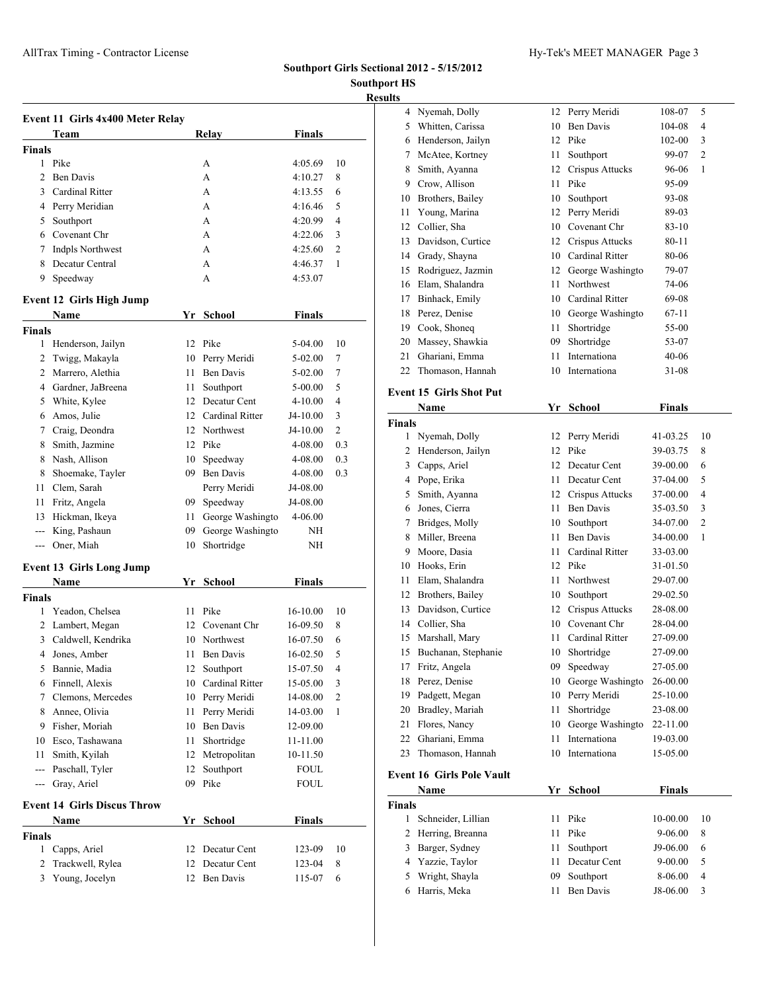AllTrax Timing - Contractor License **Hy-Tek's MEET MANAGER** Page 3

## **Southport Girls Sectional 2012 - 5/15/2012**

**Southport HS Results**

|                    | Event 11 Girls 4x400 Meter Relay   |    |                    |               |                |
|--------------------|------------------------------------|----|--------------------|---------------|----------------|
|                    | Team                               |    | Relay              | <b>Finals</b> |                |
| Finals             |                                    |    |                    |               |                |
| 1                  | Pike                               |    | A                  | 4:05.69       | 10             |
| 2                  | <b>Ben Davis</b>                   |    | A                  | 4:10.27       | 8              |
| 3                  | Cardinal Ritter                    |    | A                  | 4:13.55       | 6              |
|                    | 4 Perry Meridian                   |    | A                  | 4:16.46       | 5              |
| 5                  | Southport                          |    | A                  | 4:20.99       | 4              |
|                    | 6 Covenant Chr                     |    | A                  | 4:22.06       | 3              |
| 7                  | Indpls Northwest                   |    | A                  | 4:25.60       | 2              |
| 8                  | Decatur Central                    |    | A                  | 4:46.37       | 1              |
| 9                  | Speedway                           |    | A                  | 4:53.07       |                |
|                    | <b>Event 12 Girls High Jump</b>    |    |                    |               |                |
|                    | Name                               |    | Yr School          | <b>Finals</b> |                |
| Finals             |                                    |    |                    |               |                |
| 1                  | Henderson, Jailyn                  | 12 | Pike               | 5-04.00       | 10             |
| 2                  | Twigg, Makayla                     | 10 | Perry Meridi       | $5 - 02.00$   | 7              |
| 2                  | Marrero, Alethia                   | 11 | <b>Ben Davis</b>   | 5-02.00       | 7              |
| 4                  | Gardner, JaBreena                  | 11 | Southport          | 5-00.00       | 5              |
|                    | 5 White, Kylee                     | 12 | Decatur Cent       | 4-10.00       | $\overline{4}$ |
| 6                  | Amos, Julie                        |    | 12 Cardinal Ritter | J4-10.00      | 3              |
|                    | 7 Craig, Deondra                   |    | 12 Northwest       | J4-10.00      | $\overline{2}$ |
| 8                  | Smith, Jazmine                     |    | 12 Pike            | 4-08.00       | 0.3            |
| 8                  | Nash, Allison                      | 10 | Speedway           | 4-08.00       | 0.3            |
| 8                  | Shoemake, Tayler                   |    | 09 Ben Davis       | 4-08.00       | 0.3            |
| 11                 | Clem, Sarah                        |    | Perry Meridi       | J4-08.00      |                |
| 11                 | Fritz, Angela                      |    | 09 Speedway        | J4-08.00      |                |
| 13                 | Hickman, Ikeya                     | 11 | George Washingto   | 4-06.00       |                |
| ---                | King, Pashaun                      | 09 | George Washingto   | NΗ            |                |
| ---                | Oner, Miah                         | 10 | Shortridge         | NH            |                |
|                    | <b>Event 13 Girls Long Jump</b>    |    |                    |               |                |
|                    | Name                               |    | Yr School          | Finals        |                |
| Finals             |                                    |    |                    |               |                |
| 1                  | Yeadon, Chelsea                    | 11 | Pike               | 16-10.00      | 10             |
| 2                  | Lambert, Megan                     | 12 | Covenant Chr       | 16-09.50      | 8              |
| 3                  | Caldwell, Kendrika                 |    | 10 Northwest       | 16-07.50      | 6              |
|                    | 4 Jones, Amber                     |    | 11 Ben Davis       | 16-02.50      | 5              |
| 5                  | Bannie, Madia                      |    | 12 Southport       | 15-07.50      | 4              |
| 6                  | Finnell, Alexis                    | 10 | Cardinal Ritter    | 15-05.00      | 3              |
| 7                  | Clemons, Mercedes                  |    | 10 Perry Meridi    | 14-08.00      | 2              |
| 8                  | Annee, Olivia                      | 11 | Perry Meridi       | 14-03.00      | 1              |
| 9                  | Fisher, Moriah                     | 10 | <b>Ben Davis</b>   | 12-09.00      |                |
| 10                 | Esco, Tashawana                    | 11 | Shortridge         | 11-11.00      |                |
| 11                 | Smith, Kyilah                      | 12 | Metropolitan       | 10-11.50      |                |
| $---$              | Paschall, Tyler                    | 12 | Southport          | <b>FOUL</b>   |                |
| $ -$               | Gray, Ariel                        | 09 | Pike               | FOUL          |                |
|                    | <b>Event 14 Girls Discus Throw</b> |    |                    |               |                |
|                    | <b>Name</b>                        |    | Yr School          | <b>Finals</b> |                |
|                    |                                    |    |                    |               |                |
|                    |                                    |    |                    |               |                |
| 1                  | Capps, Ariel                       | 12 | Decatur Cent       | 123-09        | 10             |
| <b>Finals</b><br>2 | Trackwell, Rylea                   | 12 | Decatur Cent       | 123-04        | 8              |

| սււչ               |                                  |    |                           |               |                          |
|--------------------|----------------------------------|----|---------------------------|---------------|--------------------------|
| 4                  | Nyemah, Dolly                    | 12 | Perry Meridi              | 108-07        | 5                        |
| 5                  | Whitten, Carissa                 | 10 | <b>Ben Davis</b>          | 104-08        | 4                        |
| 6                  | Henderson, Jailyn                |    | 12 Pike                   | 102-00        | 3                        |
| 7                  | McAtee, Kortney                  | 11 | Southport                 | 99-07         | 2                        |
| 8                  | Smith, Ayanna                    | 12 | Crispus Attucks           | 96-06         | 1                        |
|                    | 9 Crow, Allison                  | 11 | Pike                      | 95-09         |                          |
| 10                 | Brothers, Bailey                 | 10 | Southport                 | 93-08         |                          |
| 11                 | Young, Marina                    | 12 | Perry Meridi              | 89-03         |                          |
|                    | 12 Collier, Sha                  | 10 | Covenant Chr              | 83-10         |                          |
| 13                 | Davidson, Curtice                |    | 12 Crispus Attucks        | 80-11         |                          |
|                    | 14 Grady, Shayna                 |    | 10 Cardinal Ritter        | 80-06         |                          |
| 15                 | Rodriguez, Jazmin                |    | 12 George Washingto       | 79-07         |                          |
|                    | 16 Elam, Shalandra               | 11 | Northwest                 | 74-06         |                          |
|                    | 17 Binhack, Emily                |    | 10 Cardinal Ritter        | 69-08         |                          |
| 18                 | Perez, Denise                    |    | 10 George Washingto       | 67-11         |                          |
| 19                 | Cook, Shoneq                     | 11 | Shortridge                | 55-00         |                          |
| 20                 | Massey, Shawkia                  | 09 | Shortridge                | 53-07         |                          |
| 21                 | Ghariani, Emma                   | 11 | Internationa              | 40-06         |                          |
| 22                 | Thomason, Hannah                 | 10 | Internationa              | 31-08         |                          |
|                    |                                  |    |                           |               |                          |
|                    | <b>Event 15 Girls Shot Put</b>   |    |                           |               |                          |
|                    | Name                             |    | Yr School                 | Finals        |                          |
| <b>Finals</b>      |                                  |    |                           |               |                          |
| 1                  | Nyemah, Dolly                    |    | 12 Perry Meridi           | 41-03.25      | 10                       |
| 2                  | Henderson, Jailyn                |    | 12 Pike                   | 39-03.75      | 8                        |
|                    | 3 Capps, Ariel                   |    | 12 Decatur Cent           | 39-00.00      | 6                        |
|                    | 4 Pope, Erika                    |    | 11 Decatur Cent           | 37-04.00      | 5                        |
| 5                  | Smith, Ayanna                    |    | 12 Crispus Attucks        | 37-00.00      | 4                        |
| 6                  | Jones, Cierra                    |    | 11 Ben Davis              | 35-03.50      | 3                        |
| 7                  | Bridges, Molly                   |    | 10 Southport              | 34-07.00      | 2                        |
| 8                  | Miller, Breena                   | 11 | <b>Ben Davis</b>          | 34-00.00      | 1                        |
| 9                  | Moore, Dasia                     | 11 | Cardinal Ritter           | 33-03.00      |                          |
|                    | 10 Hooks, Erin                   |    | 12 Pike                   | 31-01.50      |                          |
| 11                 | Elam, Shalandra                  | 11 | Northwest                 | 29-07.00      |                          |
| 12                 | Brothers, Bailey                 |    | 10 Southport              | 29-02.50      |                          |
| 13                 | Davidson, Curtice                |    | 12 Crispus Attucks        | 28-08.00      |                          |
|                    | 14 Collier, Sha                  |    | 10 Covenant Chr           | 28-04.00      |                          |
| 15                 | Marshall, Mary                   | 11 | Cardinal Ritter           | 27-09.00      |                          |
| 15                 | Buchanan, Stephanie              | 10 | Shortridge                | 27-09.00      |                          |
| 17                 | Fritz, Angela                    | 09 | Speedway                  | 27-05.00      |                          |
| 18                 | Perez, Denise                    | 10 | George Washingto          | 26-00.00      |                          |
| 19                 | Padgett, Megan                   | 10 | Perry Meridi              | 25-10.00      |                          |
| 20                 | Bradley, Mariah                  | 11 | Shortridge                | 23-08.00      |                          |
| 21                 | Flores, Nancy                    | 10 | George Washingto          | 22-11.00      |                          |
| 22                 | Ghariani, Emma                   | 11 | Internationa              | 19-03.00      |                          |
| 23                 | Thomason, Hannah                 | 10 | Internationa              | 15-05.00      |                          |
|                    | <b>Event 16 Girls Pole Vault</b> |    |                           |               |                          |
|                    | Name                             | Yr | <b>School</b>             | <b>Finals</b> |                          |
|                    |                                  |    |                           |               |                          |
| <b>Finals</b><br>1 | Schneider, Lillian               | 11 | Pike                      | 10-00.00      | 10                       |
| 2                  | Herring, Breanna                 | 11 | Pike                      | 9-06.00       | 8                        |
| 3                  |                                  | 11 |                           |               |                          |
| 4                  | Barger, Sydney<br>Yazzie, Taylor | 11 | Southport<br>Decatur Cent | J9-06.00      | 6<br>5                   |
|                    |                                  | 09 |                           | 9-00.00       | $\overline{\mathcal{L}}$ |
| 5                  | Wright, Shayla                   |    | Southport                 | 8-06.00       |                          |
| 6                  | Harris, Meka                     | 11 | Ben Davis                 | J8-06.00      | 3                        |